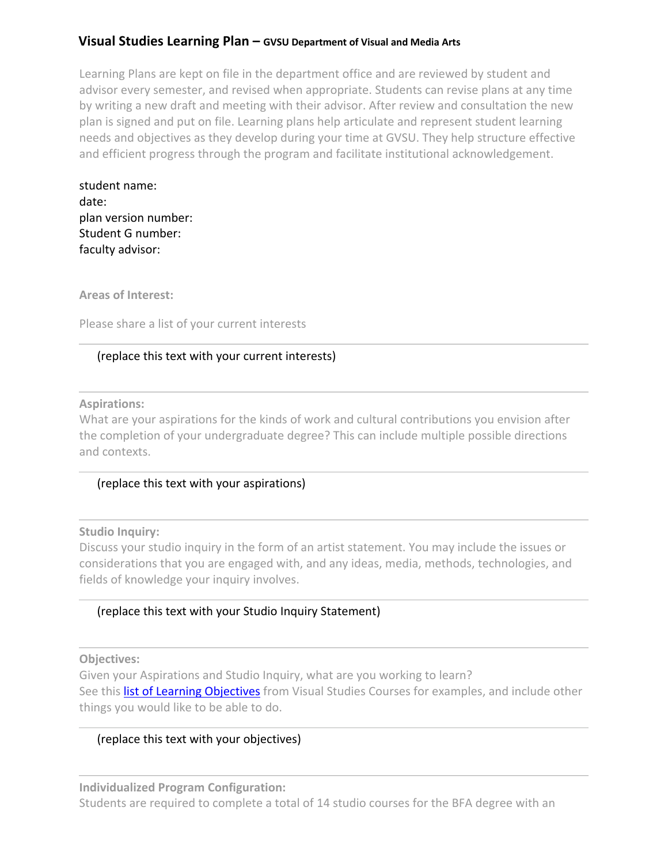# **Visual Studies Learning Plan – GVSU Department of Visual and Media Arts**

Learning Plans are kept on file in the department office and are reviewed by student and advisor every semester, and revised when appropriate. Students can revise plans at any time by writing a new draft and meeting with their advisor. After review and consultation the new plan is signed and put on file. Learning plans help articulate and represent student learning needs and objectives as they develop during your time at GVSU. They help structure effective and efficient progress through the program and facilitate institutional acknowledgement.

| student name:        |
|----------------------|
| date:                |
| plan version number: |
| Student G number:    |
| faculty advisor:     |

**Areas of Interest:**

Please share a list of your current interests

## (replace this text with your current interests)

**Aspirations:**

What are your aspirations for the kinds of work and cultural contributions you envision after the completion of your undergraduate degree? This can include multiple possible directions and contexts.

## (replace this text with your aspirations)

**Studio Inquiry:**

Discuss your studio inquiry in the form of an artist statement. You may include the issues or considerations that you are engaged with, and any ideas, media, methods, technologies, and fields of knowledge your inquiry involves.

## (replace this text with your Studio Inquiry Statement)

### **Objectives:**

Given your Aspirations and Studio Inquiry, what are you working to learn? See this list of Learning Objectives from Visual Studies Courses for examples, and include other things you would like to be able to do.

## (replace this text with your objectives)

**Individualized Program Configuration:** Students are required to complete a total of 14 studio courses for the BFA degree with an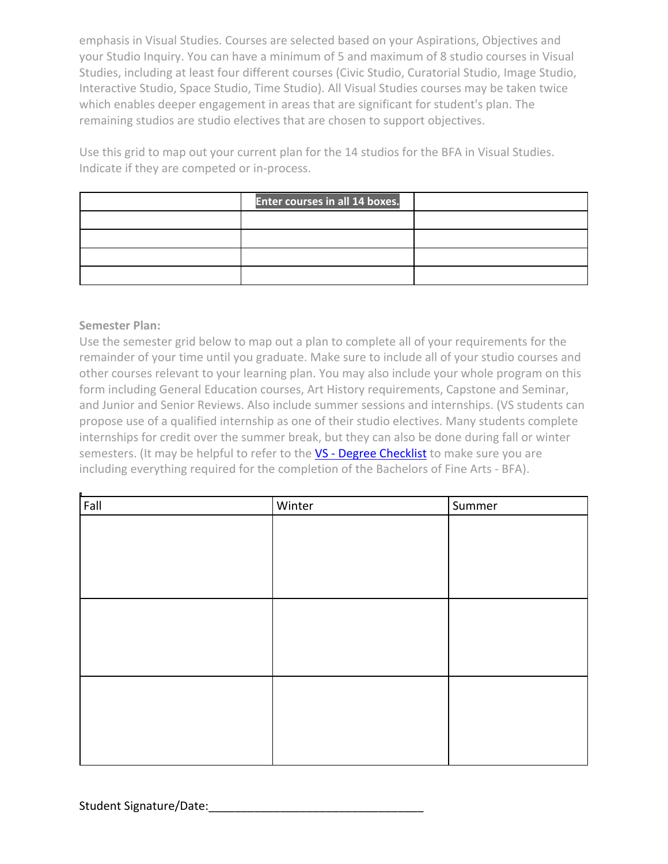emphasis in Visual Studies. Courses are selected based on your Aspirations, Objectives and your Studio Inquiry. You can have a minimum of 5 and maximum of 8 studio courses in Visual Studies, including at least four different courses (Civic Studio, Curatorial Studio, Image Studio, Interactive Studio, Space Studio, Time Studio). All Visual Studies courses may be taken twice which enables deeper engagement in areas that are significant for student's plan. The remaining studios are studio electives that are chosen to support objectives.

Use this grid to map out your current plan for the 14 studios for the BFA in Visual Studies. Indicate if they are competed or in-process.

| <b>Enter courses in all 14 boxes.</b> |  |
|---------------------------------------|--|
|                                       |  |
|                                       |  |
|                                       |  |
|                                       |  |

## **Semester Plan:**

Use the semester grid below to map out a plan to complete all of your requirements for the remainder of your time until you graduate. Make sure to include all of your studio courses and other courses relevant to your learning plan. You may also include your whole program on this form including General Education courses, Art History requirements, Capstone and Seminar, and Junior and Senior Reviews. Also include summer sessions and internships. (VS students can propose use of a qualified internship as one of their studio electives. Many students complete internships for credit over the summer break, but they can also be done during fall or winter semesters. (It may be helpful to refer to the VS - Degree Checklist to make sure you are including everything required for the completion of the Bachelors of Fine Arts - BFA).

| Fall | Winter | Summer |
|------|--------|--------|
|      |        |        |
|      |        |        |
|      |        |        |
|      |        |        |
|      |        |        |
|      |        |        |
|      |        |        |
|      |        |        |
|      |        |        |
|      |        |        |
|      |        |        |
|      |        |        |